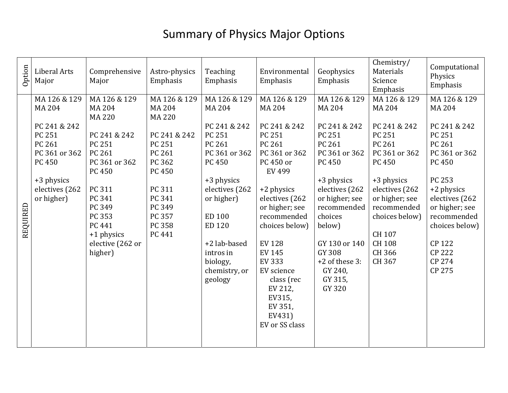## Summary of Physics Major Options

| Option   | Liberal Arts<br>Major                                                                                                                             | Comprehensive<br>Major                                                                                                                                                                                       | Astro-physics<br>Emphasis                                                                                                                                          | Teaching<br>Emphasis                                                                                                                                                                                                                       | Environmental<br>Emphasis                                                                                                                                                                                                                                                                                                       | Geophysics<br>Emphasis                                                                                                                                                                                                                                                 | Chemistry/<br>Materials<br>Science<br>Emphasis                                                                                                                                                                                        | Computational<br>Physics<br>Emphasis                                                                                                                                                                                                                   |
|----------|---------------------------------------------------------------------------------------------------------------------------------------------------|--------------------------------------------------------------------------------------------------------------------------------------------------------------------------------------------------------------|--------------------------------------------------------------------------------------------------------------------------------------------------------------------|--------------------------------------------------------------------------------------------------------------------------------------------------------------------------------------------------------------------------------------------|---------------------------------------------------------------------------------------------------------------------------------------------------------------------------------------------------------------------------------------------------------------------------------------------------------------------------------|------------------------------------------------------------------------------------------------------------------------------------------------------------------------------------------------------------------------------------------------------------------------|---------------------------------------------------------------------------------------------------------------------------------------------------------------------------------------------------------------------------------------|--------------------------------------------------------------------------------------------------------------------------------------------------------------------------------------------------------------------------------------------------------|
| REQUIRED | MA 126 & 129<br><b>MA 204</b><br>PC 241 & 242<br>PC 251<br>PC 261<br>PC 361 or 362<br><b>PC 450</b><br>+3 physics<br>electives (262<br>or higher) | MA 126 & 129<br><b>MA 204</b><br><b>MA 220</b><br>PC 241 & 242<br>PC 251<br>PC 261<br>PC 361 or 362<br>PC 450<br>PC 311<br>PC 341<br>PC 349<br>PC 353<br>PC 441<br>+1 physics<br>elective (262 or<br>higher) | MA 126 & 129<br><b>MA 204</b><br><b>MA 220</b><br>PC 241 & 242<br>PC 251<br>PC 261<br>PC 362<br>PC 450<br>PC 311<br>PC 341<br>PC 349<br>PC 357<br>PC 358<br>PC 441 | MA 126 & 129<br><b>MA 204</b><br>PC 241 & 242<br>PC 251<br>PC 261<br>PC 361 or 362<br><b>PC 450</b><br>+3 physics<br>electives (262<br>or higher)<br>ED 100<br>ED 120<br>+2 lab-based<br>intros in<br>biology,<br>chemistry, or<br>geology | MA 126 & 129<br>MA 204<br>PC 241 & 242<br>PC 251<br>PC 261<br>PC 361 or 362<br>PC 450 or<br>EV 499<br>+2 physics<br>electives (262<br>or higher; see<br>recommended<br>choices below)<br><b>EV128</b><br><b>EV 145</b><br><b>EV 333</b><br>EV science<br>class (rec<br>EV 212,<br>EV315,<br>EV 351,<br>EV431)<br>EV or SS class | MA 126 & 129<br>MA 204<br>PC 241 & 242<br>PC 251<br>PC 261<br>PC 361 or 362<br><b>PC 450</b><br>+3 physics<br>electives (262<br>or higher; see<br>recommended<br>choices<br>below)<br>GY 130 or 140<br><b>GY 308</b><br>+2 of these 3:<br>GY 240,<br>GY 315,<br>GY 320 | MA 126 & 129<br><b>MA 204</b><br>PC 241 & 242<br>PC 251<br>PC 261<br>PC 361 or 362<br><b>PC 450</b><br>+3 physics<br>electives (262<br>or higher; see<br>recommended<br>choices below)<br>CH 107<br><b>CH 108</b><br>CH 366<br>CH 367 | MA 126 & 129<br><b>MA 204</b><br>PC 241 & 242<br>PC 251<br>PC 261<br>PC 361 or 362<br><b>PC 450</b><br>PC 253<br>+2 physics<br>electives (262<br>or higher; see<br>recommended<br>choices below)<br>CP 122<br><b>CP 222</b><br><b>CP 274</b><br>CP 275 |